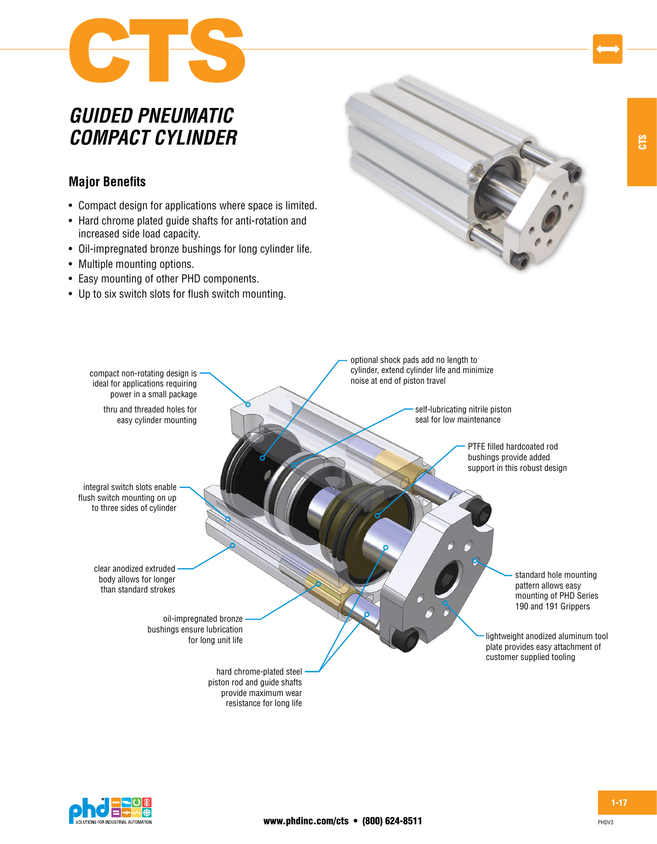

# *GUIDED PNEUMATIC COMPACT CYLINDER*

# **Major Benefits**

- Compact design for applications where space is limited.
- Hard chrome plated guide shafts for anti-rotation and increased side load capacity.
- Oil-impregnated bronze bushings for long cylinder life.
- Multiple mounting options.
- Easy mounting of other PHD components.
- Up to six switch slots for flush switch mounting.







CTS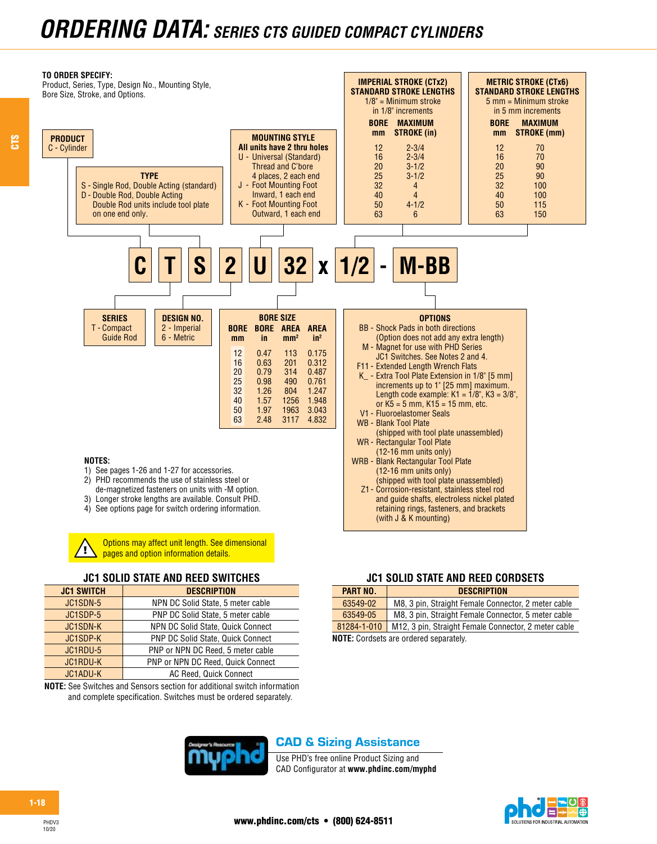

CTS

Options may affect unit length. See dimensional pages and option information details.

#### **JC1 SOLID STATE AND REED SWITCHES**

| <b>JC1 SWITCH</b> | <b>DESCRIPTION</b>                |
|-------------------|-----------------------------------|
| JC1SDN-5          | NPN DC Solid State, 5 meter cable |
| JC1SDP-5          | PNP DC Solid State, 5 meter cable |
| <b>JC1SDN-K</b>   | NPN DC Solid State, Quick Connect |
| JC1SDP-K          | PNP DC Solid State, Quick Connect |
| JC1RDU-5          | PNP or NPN DC Reed, 5 meter cable |
| JC1RDU-K          | PNP or NPN DC Reed, Quick Connect |
| JC1ADU-K          | AC Reed, Quick Connect            |
|                   |                                   |

**NOTE:** See Switches and Sensors section for additional switch information and complete specification. Switches must be ordered separately.

## CAD & Sizing Assistance

**JC1 SOLID STATE AND REED CORDSETS**

63549-02 M8, 3 pin, Straight Female Connector, 2 meter cable 63549-05 M8, 3 pin, Straight Female Connector, 5 meter cable 81284-1-010 M12, 3 pin, Straight Female Connector, 2 meter cable

**PART NO. DESCRIPTION**

**NOTE:** Cordsets are ordered separately.

Use PHD's free online Product Sizing and CAD Configurator at **www.phdinc.com/myphd**

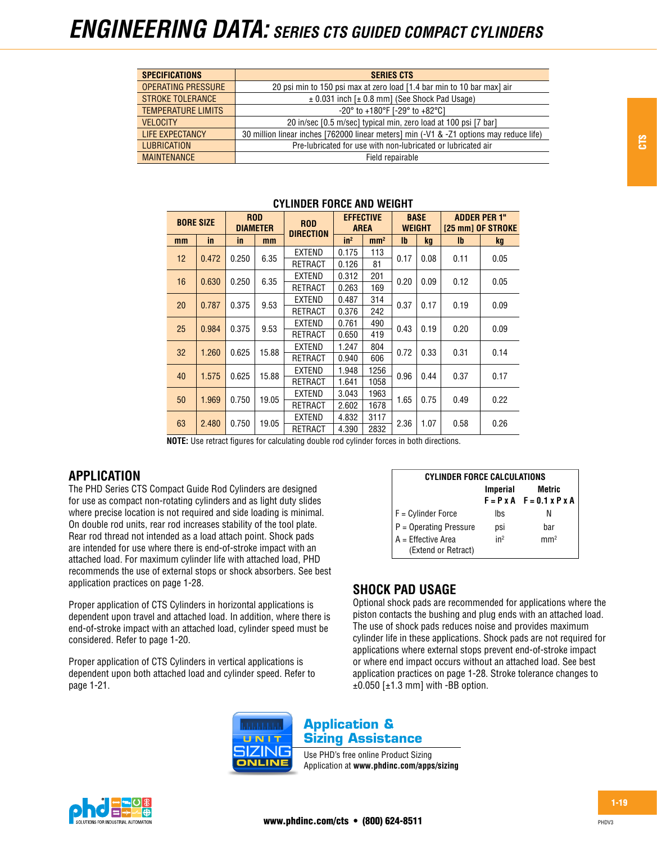| <b>SPECIFICATIONS</b>     | <b>SERIES CTS</b>                                                                       |
|---------------------------|-----------------------------------------------------------------------------------------|
| <b>OPERATING PRESSURE</b> | 20 psi min to 150 psi max at zero load [1.4 bar min to 10 bar max] air                  |
| <b>STROKE TOLERANCE</b>   | $\pm$ 0.031 inch [ $\pm$ 0.8 mm] (See Shock Pad Usage)                                  |
| <b>TEMPERATURE LIMITS</b> | $-20^{\circ}$ to $+180^{\circ}$ F [ $-29^{\circ}$ to $+82^{\circ}$ C]                   |
| <b>VELOCITY</b>           | 20 in/sec [0.5 m/sec] typical min, zero load at 100 psi [7 bar]                         |
| LIFE EXPECTANCY           | 30 million linear inches [762000 linear meters] min (-V1 & -Z1 options may reduce life) |
| <b>LUBRICATION</b>        | Pre-lubricated for use with non-lubricated or lubricated air                            |
| <b>MAINTENANCE</b>        | Field repairable                                                                        |

| <b>BORE SIZE</b> |       | <b>ROD</b><br><b>DIAMETER</b> |       | <b>ROD</b><br><b>DIRECTION</b> | <b>AREA</b> | <b>EFFECTIVE</b> |      | <b>BASE</b><br><b>WEIGHT</b> | <b>ADDER PER 1"</b><br>[25 mm] OF STROKE |           |  |
|------------------|-------|-------------------------------|-------|--------------------------------|-------------|------------------|------|------------------------------|------------------------------------------|-----------|--|
| mm               | in    | <i>in</i>                     | mm    |                                | $in^2$      | mm <sup>2</sup>  | lb.  | <b>kg</b>                    | $\mathbf{I}$                             | <b>kg</b> |  |
| 12               | 0.472 | 0.250                         | 6.35  | EXTEND                         | 0.175       | 113              | 0.17 | 0.08                         | 0.11                                     | 0.05      |  |
|                  |       |                               |       | RETRACT                        | 0.126       | 81               |      |                              |                                          |           |  |
| 16               | 0.630 | 0.250                         | 6.35  | EXTEND                         | 0.312       | 201              | 0.20 | 0.09                         | 0.12                                     | 0.05      |  |
|                  |       |                               |       | RETRACT                        | 0.263       | 169              |      |                              |                                          |           |  |
| 20               | 0.787 | 0.375                         | 9.53  | EXTEND                         | 0.487       | 314              | 0.37 | 0.17                         | 0.19                                     | 0.09      |  |
|                  |       |                               |       | RETRACT                        | 0.376       | 242              |      |                              |                                          |           |  |
| 25               | 0.984 | 0.375                         | 9.53  | EXTEND                         | 0.761       | 490              | 0.43 | 0.19                         | 0.20                                     | 0.09      |  |
|                  |       |                               |       | <b>RETRACT</b>                 | 0.650       | 419              |      |                              |                                          |           |  |
| 32               | 1.260 | 0.625                         | 15.88 | EXTEND                         | 1.247       | 804              | 0.72 | 0.33                         | 0.31                                     | 0.14      |  |
|                  |       |                               |       | RETRACT                        | 0.940       | 606              |      |                              |                                          |           |  |
| 40               | 1.575 | 0.625                         | 15.88 | EXTEND                         | 1.948       | 1256             | 0.96 | 0.44                         | 0.37                                     | 0.17      |  |
|                  |       |                               |       | RETRACT                        | 1.641       | 1058             |      |                              |                                          |           |  |
|                  | 1.969 | 0.750                         | 19.05 | EXTEND                         | 3.043       | 1963             |      | 0.75                         | 0.49                                     |           |  |
| 50               |       |                               |       | <b>RETRACT</b>                 | 2.602       | 1678             | 1.65 |                              |                                          | 0.22      |  |
| 63               | 2.480 | 0.750                         | 19.05 | EXTEND                         | 4.832       | 3117             | 2.36 | 1.07                         | 0.58                                     |           |  |
|                  |       |                               |       | RETRACT                        | 4.390       | 2832             |      |                              |                                          | 0.26      |  |

#### **CYLINDER FORCE AND WEIGHT**

**NOTE:** Use retract figures for calculating double rod cylinder forces in both directions.

## **APPLICATION**

The PHD Series CTS Compact Guide Rod Cylinders are designed for use as compact non-rotating cylinders and as light duty slides where precise location is not required and side loading is minimal. On double rod units, rear rod increases stability of the tool plate. Rear rod thread not intended as a load attach point. Shock pads are intended for use where there is end-of-stroke impact with an attached load. For maximum cylinder life with attached load, PHD recommends the use of external stops or shock absorbers. See best application practices on page 1-28.

Proper application of CTS Cylinders in horizontal applications is dependent upon travel and attached load. In addition, where there is end-of-stroke impact with an attached load, cylinder speed must be considered. Refer to page 1-20.

Proper application of CTS Cylinders in vertical applications is dependent upon both attached load and cylinder speed. Refer to page 1-21.

| <b>CYLINDER FORCE CALCULATIONS</b>        |                 |                                                        |  |  |  |  |  |  |  |  |
|-------------------------------------------|-----------------|--------------------------------------------------------|--|--|--|--|--|--|--|--|
|                                           | <b>Imperial</b> | Metric<br>$F = P \times A$ $F = 0.1 \times P \times A$ |  |  |  |  |  |  |  |  |
| $F =$ Cylinder Force                      | Ibs             | N                                                      |  |  |  |  |  |  |  |  |
| $P =$ Operating Pressure                  | psi             | har                                                    |  |  |  |  |  |  |  |  |
| A = Effective Area<br>(Extend or Retract) | in <sup>2</sup> | mm <sup>2</sup>                                        |  |  |  |  |  |  |  |  |

# **SHOCK PAD USAGE**

Optional shock pads are recommended for applications where the piston contacts the bushing and plug ends with an attached load. The use of shock pads reduces noise and provides maximum cylinder life in these applications. Shock pads are not required for applications where external stops prevent end-of-stroke impact or where end impact occurs without an attached load. See best application practices on page 1-28. Stroke tolerance changes to  $±0.050$  [ $±1.3$  mm] with -BB option.



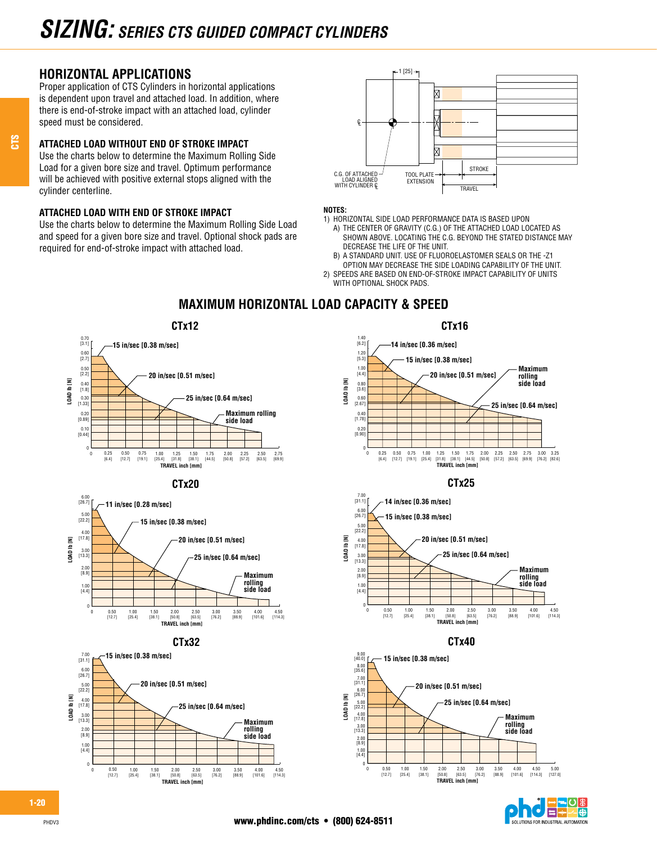# **HORIZONTAL APPLICATIONS**

CTS

Proper application of CTS Cylinders in horizontal applications is dependent upon travel and attached load. In addition, where there is end-of-stroke impact with an attached load, cylinder speed must be considered.

#### **ATTACHED LOAD WITHOUT END OF STROKE IMPACT**

Use the charts below to determine the Maximum Rolling Side Load for a given bore size and travel. Optimum performance will be achieved with positive external stops aligned with the cylinder centerline.

#### **ATTACHED LOAD WITH END OF STROKE IMPACT**

Use the charts below to determine the Maximum Rolling Side Load and speed for a given bore size and travel. Optional shock pads are required for end-of-stroke impact with attached load.



#### **NOTES:**

- 1) HORIZONTAL SIDE LOAD PERFORMANCE DATA IS BASED UPON
	- A) THE CENTER OF GRAVITY (C.G.) OF THE ATTACHED LOAD LOCATED AS SHOWN ABOVE. LOCATING THE C.G. BEYOND THE STATED DISTANCE MAY DECREASE THE LIFE OF THE UNIT.
- B) A STANDARD UNIT. USE OF FLUOROELASTOMER SEALS OR THE -Z1 OPTION MAY DECREASE THE SIDE LOADING CAPABILITY OF THE UNIT.
- 2) SPEEDS ARE BASED ON END-OF-STROKE IMPACT CAPABILITY OF UNITS WITH OPTIONAL SHOCK PADS.



**TRAVEL inch [mm]** 2.00 [50.8]

2.50 [63.5]

3.00 [76.2]

3.50 [88.9] 4.00 [101.6] 4.50 [114.3]

## **MAXIMUM HORIZONTAL LOAD CAPACITY & SPEED**





PHDV3

0

0

1.00 [25.4]

1.50 [38.1]

0.50  $[12.7]$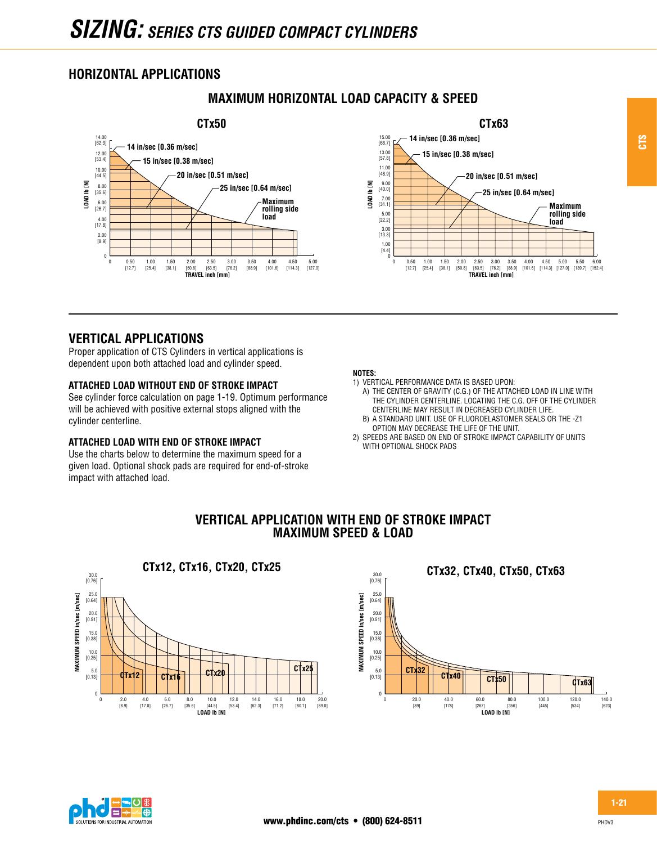# **HORIZONTAL APPLICATIONS**





# **VERTICAL APPLICATIONS**

Proper application of CTS Cylinders in vertical applications is dependent upon both attached load and cylinder speed.

#### **ATTACHED LOAD WITHOUT END OF STROKE IMPACT**

See cylinder force calculation on page 1-19. Optimum performance will be achieved with positive external stops aligned with the cylinder centerline.

#### **ATTACHED LOAD WITH END OF STROKE IMPACT**

Use the charts below to determine the maximum speed for a given load. Optional shock pads are required for end-of-stroke impact with attached load.

#### **NOTES:**

**VERTICAL APPLICATION WITH END OF STROKE IMPACT MAXIMUM SPEED & LOAD**

- 1) VERTICAL PERFORMANCE DATA IS BASED UPON:
	- A) THE CENTER OF GRAVITY (C.G.) OF THE ATTACHED LOAD IN LINE WITH THE CYLINDER CENTERLINE. LOCATING THE C.G. OFF OF THE CYLINDER CENTERLINE MAY RESULT IN DECREASED CYLINDER LIFE. B) A STANDARD UNIT. USE OF FLUOROELASTOMER SEALS OR THE -Z1
- OPTION MAY DECREASE THE LIFE OF THE UNIT. 2) SPEEDS ARE BASED ON END OF STROKE IMPACT CAPABILITY OF UNITS
- WITH OPTIONAL SHOCK PADS







CTS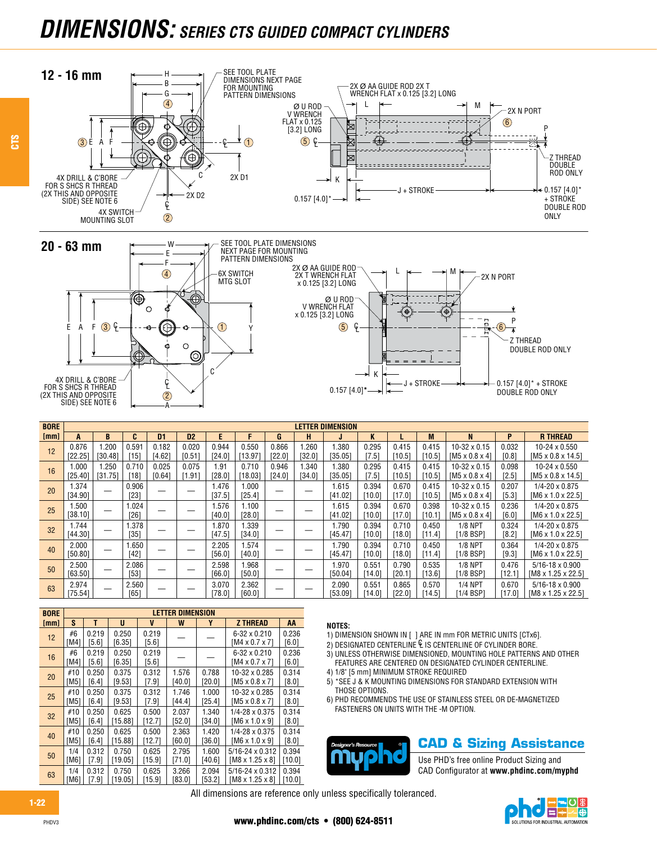# *DIMENSIONS: SERIES CTS GUIDED COMPACT CYLINDERS*



| <b>BORE</b> |                  |                 |                 |                 |                 |                 |                  |                 |                | <b>LETTER DIMENSION</b> |                 |                 |                 |                                                   |                  |                                                            |
|-------------|------------------|-----------------|-----------------|-----------------|-----------------|-----------------|------------------|-----------------|----------------|-------------------------|-----------------|-----------------|-----------------|---------------------------------------------------|------------------|------------------------------------------------------------|
| [mm]        | A                | B               | υ.              | D1              | D <sub>2</sub>  | E               | F                | G               | н              |                         | K               |                 | M               | N                                                 | P                | <b>R THREAD</b>                                            |
| 12          | 0.876<br>[22.25] | .200<br>[30.48] | 0.591<br>[15]   | 0.182<br>[4.62] | 0.020<br>[0.51] | 0.944<br>[24.0] | 0.550<br>[13.97] | 0.866<br>[22.0] | .260<br>[32.0] | 1.380<br>[35.05]        | 0.295<br>[7.5]  | 0.415<br>[10.5] | 0.415<br>[10.5] | $10-32 \times 0.15$<br>$[M5 \times 0.8 \times 4]$ | 0.032<br>[0.8]   | $10-24 \times 0.550$<br>$[M5 \times 0.8 \times 14.5]$      |
| 16          | 1.000<br>[25.40] | .250<br>[31.75] | 0.710<br>[18]   | 0.025<br>[0.64] | 0.075<br>[1.91  | 1.91<br>[28.0]  | 0.710<br>[18.03] | 0.946<br>[24.0] | .340<br>[34.0] | 1.380<br>[35.05]        | 0.295<br>[7.5]  | 0.415<br>[10.5] | 0.415<br>[10.5] | $10-32 \times 0.15$<br>$[M5 \times 0.8 \times 4]$ | 0.098<br>$[2.5]$ | 10-24 x 0.550<br>$[M5 \times 0.8 \times 14.5]$             |
| 20          | 1.374<br>[34.90] |                 | 0.906<br>[23]   |                 |                 | .476<br>[37.5]  | 000.1<br>[25.4]  |                 |                | 1.615<br>[41.02]        | 0.394<br>[10.0] | 0.670<br>[17.0] | 0.415<br>[10.5] | $10-32 \times 0.15$<br>$[M5 \times 0.8 \times 4]$ | 0.207<br>[5.3]   | $1/4 - 20 \times 0.875$<br>$[M6 \times 1.0 \times 22.5]$   |
| 25          | 1.500<br>[38.10] |                 | 1.024<br>[26]   |                 |                 | .576<br>[40.0]  | 1.100<br>[28.0]  |                 |                | 1.615<br>[41.02]        | 0.394<br>[10.0] | 0.670<br>[17.0] | 0.398<br>[10.1] | $10-32 \times 0.15$<br>$[M5 \times 0.8 \times 4]$ | 0.236<br>[6.0]   | $1/4 - 20 \times 0.875$<br>$[M6 \times 1.0 \times 22.5]$   |
| 32          | 1.744<br>[44.30] |                 | 1.378<br>[35]   |                 |                 | .870<br>[47.5]  | .339<br>[34.0]   |                 |                | 1.790<br>[45.47]        | 0.394<br>[10.0] | 0.710<br>[18.0] | 0.450<br>[11.4] | <b>1/8 NPT</b><br>$[1/8$ BSP                      | 0.324<br>[8.2]   | $1/4 - 20 \times 0.875$<br>$[MB \times 1.0 \times 22.5]$   |
| 40          | 2.000<br>[50.80] |                 | .650<br>[42]    |                 |                 | 2.205<br>[56.0] | .574<br>[40.0]   |                 |                | 1.790<br>[45.47]        | 0.394<br>[10.0] | 0.710<br>[18.0] | 0.450<br>[11.4] | <b>1/8 NPT</b><br>$[1/8$ BSP                      | 0.364<br>[9.3]   | $1/4 - 20 \times 0.875$<br>$[MB \times 1.0 \times 22.5]$   |
| 50          | 2.500<br>[63.50] |                 | 2.086<br>$[53]$ |                 |                 | 2.598<br>[66.0] | .968<br>[50.0]   |                 |                | 1.970<br>[50.04]        | 0.551<br>[14.0] | 0.790<br>[20.1] | 0.535<br>[13.6] | <b>1/8 NPT</b><br>[1/8 BSP]                       | 0.476<br>[12.1]  | $5/16 - 18 \times 0.900$<br>$[M8 \times 1.25 \times 22.5]$ |
| 63          | 2.974<br>[75.54] |                 | 2.560<br>[65]   |                 |                 | 3.070<br>[78.0] | 2.362<br>[60.0]  |                 |                | 2.090<br>[53.09]        | 0.551<br>[14.0] | 0.865<br>[22.0] | 0.570<br>[14.5] | <b>1/4 NPT</b><br>[1/4 BSP]                       | 0.670<br>[17.0]  | $5/16 - 18 \times 0.900$<br>$[M8 \times 1.25 \times 22.5]$ |

| <b>BORE</b> | LETTER DIMENSION |       |         |        |        |        |                             |         |  |  |  |  |
|-------------|------------------|-------|---------|--------|--------|--------|-----------------------------|---------|--|--|--|--|
| [mm]        | S                | т     | U       | V      | W      | Y      | <b>Z THREAD</b>             | AA      |  |  |  |  |
| 12          | #6               | 0.219 | 0.250   | 0.219  |        |        | 6-32 x 0.210                | 0.236   |  |  |  |  |
|             | [M4]             | [5.6] | [6.35]  | [5.6]  |        |        | $[M4 \times 0.7 \times 7]$  | [6.0]   |  |  |  |  |
|             | #6               | 0.219 | 0.250   | 0.219  |        |        | $6 - 32 \times 0.210$       | 0.236   |  |  |  |  |
| 16          | [M4]             | [5.6] | [6.35]  | [5.6]  |        |        | $[M4 \times 0.7 \times 7]$  | [6.0]   |  |  |  |  |
| 20          | #10              | 0.250 | 0.375   | 0.312  | 1.576  | 0.788  | 10-32 x 0.285               | 0.314   |  |  |  |  |
|             | [M5]             | [6.4] | [9.53]  | [7.9]  | [40.0] | [20.0] | $[ M5 \times 0.8 \times 7]$ | [8.0]   |  |  |  |  |
| 25          | #10              | 0.250 | 0.375   | 0.312  | 1.746  | 1.000  | 10-32 x 0.285               | 0.314   |  |  |  |  |
|             | [M5]             | [6.4] | [9.53]  | [7.9]  | [44.4] | [25.4] | $[ M5 \times 0.8 \times 7]$ | [8.0]   |  |  |  |  |
| 32          | #10              | 0.250 | 0.625   | 0.500  | 2.037  | 1.340  | 1/4-28 x 0.375              | 0.314   |  |  |  |  |
|             | [M5]             | [6.4] | [15.88] | [12.7] | [52.0] | [34.0] | $[M6 \times 1.0 \times 9]$  | [8.0]   |  |  |  |  |
| 40          | #10              | 0.250 | 0.625   | 0.500  | 2.363  | 1.420  | 1/4-28 x 0.375              | 0.314   |  |  |  |  |
|             | [M5]             | [6.4] | [15.88] | [12.7] | [60.0] | [36.0] | $[M6 \times 1.0 \times 9]$  | [8.0]   |  |  |  |  |
|             | 1/4              | 0.312 | 0.750   | 0.625  | 2.795  | 1.600  | $5/16 - 24 \times 0.312$    | 0.394   |  |  |  |  |
| 50          | [M6]             | [7.9] | [19.05] | [15.9] | [71.0] | [40.6] | [M8 x 1.25 x 8]             | [10.0]  |  |  |  |  |
| 63          | 1/4              | 0.312 | 0.750   | 0.625  | 3.266  | 2.094  | $5/16 - 24 \times 0.312$    | 0.394   |  |  |  |  |
|             | [M6              | [7.9] | 19.05   | [15.9] | [83.0] | [53.2] | IM8 x 1.25 x 81             | (10.01) |  |  |  |  |

#### **NOTES:**

1) DIMENSION SHOWN IN [ ] ARE IN mm FOR METRIC UNITS [CTx6].

- $2)$  DESIGNATED CENTERLINE  $E$  is centerline of Cylinder bore.
- 3) UNLESS OTHERWISE DIMENSIONED, MOUNTING HOLE PATTERNS AND OTHER FEATURES ARE CENTERED ON DESIGNATED CYLINDER CENTERLINE.
- 4) 1/8" [5 mm] MINIMUM STROKE REQUIRED
- 5) \*SEE J & K MOUNTING DIMENSIONS FOR STANDARD EXTENSION WITH THOSE OPTIONS.
- 6) PHD RECOMMENDS THE USE OF STAINLESS STEEL OR DE-MAGNETIZED FASTENERS ON UNITS WITH THE -M OPTION.



**CAD & Sizing Assistance**

Use PHD's free online Product Sizing and CAD Configurator at **www.phdinc.com/myphd**

All dimensions are reference only unless specifically toleranced.

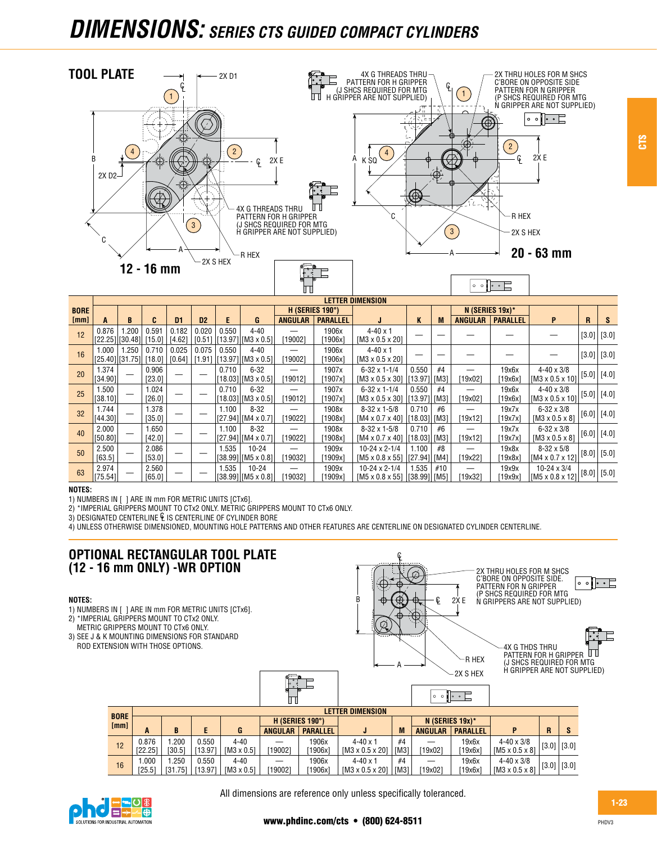# *DIMENSIONS: SERIES CTS GUIDED COMPACT CYLINDERS*



| <b>BORE</b> |                                  |                                      |                 |                 |                 | H (SERIES 190°) |                                         |                |                  |                                                         | N (SERIES 19x)*           |     |                |                  |                                                      |                 |   |
|-------------|----------------------------------|--------------------------------------|-----------------|-----------------|-----------------|-----------------|-----------------------------------------|----------------|------------------|---------------------------------------------------------|---------------------------|-----|----------------|------------------|------------------------------------------------------|-----------------|---|
| [mm]        |                                  | В                                    |                 | D1              | D <sub>2</sub>  | F               | G                                       | <b>ANGULAR</b> | <b>PARALLEL</b>  |                                                         | K                         | M   | <b>ANGULAR</b> | <b>PARALLEL</b>  | P                                                    | R               | s |
| 12          | 0.876                            | .200<br>$[22.25]$ $[30.48]$ $[15.0]$ | 0.591           | 0.182<br>[4.62] | 0.020<br>[0.51] | 0.550           | $4 - 40$<br>$[13.97]$ [M3 x 0.5]        | [19002]        | 1906x<br>1906x   | $4 - 40 \times 1$<br>$[M3 \times 0.5 \times 20]$        |                           |     |                |                  |                                                      | $(3.0)$ [3.0]   |   |
| 16          | 1.000                            | 1.250<br>[25.40][31.75][18.0]        | 0.710           | 0.025<br>[0.64] | 0.075<br>[1.91] | 0.550           | $4 - 40$<br>$[13.97]$ $[M3 \times 0.5]$ | [19002]        | 1906x<br>[1906x] | $4 - 40 \times 1$<br>$[M3 \times 0.5 \times 20]$        |                           |     |                |                  |                                                      | $(3.0)$ $(3.0)$ |   |
| 20          | 1.374<br>[34.90]                 |                                      | 0.906<br>[23.0] |                 |                 | 0.710           | $6 - 32$<br>$[18.03]$ $[M3 \times 0.5]$ | [19012]        | 1907x<br>[1907x] | $6-32 \times 1-1/4$<br>$[M3 \times 0.5 \times 30]$      | 0.550<br> [13.97]  [M3]   | #4  | $[19x02]$      | 19x6x<br>[19x6x] | $4 - 40 \times 3/8$<br>$\frac{1}{2}$ [M3 x 0.5 x 10] | [5.0]   [4.0]   |   |
| 25          | 1.500<br>$\vert$ [38.10] $\vert$ |                                      | 1.024<br>[26.0] |                 |                 | 0.710           | $6 - 32$<br>$[18.03]$ [M3 x 0.5]        | [19012]        | 1907x<br>[1907x] | $6-32 \times 1-1/4$<br>$[M3 \times 0.5 \times 30]$      | 0.550<br>[13.97] [M3]     | #4  | [19x02]        | 19x6x<br>[19x6x] | $4 - 40 \times 3/8$<br>$\frac{1}{2}$ [M3 x 0.5 x 10] | $[5.0]$ [4.0]   |   |
| 32          | 1.744<br>[44.30]                 |                                      | 1.378<br>[35.0] |                 |                 | 1.100           | $8 - 32$<br>[[27.94]][M4 x 0.7]         | [19022]        | 1908x<br>1908x1  | $8-32 \times 1-5/8$<br>$[M4 \times 0.7 \times 40]$      | 0.710<br>$[18.03]$ $[M3]$ | #6  | [19x12]        | 19x7x<br>[19x7x] | $6 - 32 \times 3/8$<br>$[M3 \times 0.5 \times 8]$    | [6.0]   [4.0]   |   |
| 40          | 2.000<br>[50.80]                 |                                      | 1.650<br>[42.0] |                 |                 | 1.100           | $8 - 32$<br>[[27.94]][M4 x 0.7]         | [19022]        | 1908x<br>1908x1  | $8-32 \times 1-5/8$<br>$[M4 \times 0.7 \times 40]$      | 0.710<br>$[18.03]$ [M3]   | #6  | [19x12]        | 19x7x<br>[19x7x] | $6 - 32 \times 3/8$<br>$[M3 \times 0.5 \times 8]$    | $[6.0]$ [4.0]   |   |
| 50          | 2.500<br>[63.5]                  |                                      | 2.086<br>[53.0] |                 |                 | 1.535           | $10 - 24$<br>[38.99] [M5 x 0.8]         | [19032]        | 1909x<br>[1909x] | $10 - 24 \times 2 - 1/4$<br>$[M5 \times 0.8 \times 55]$ | 1.100<br> [27.94]  [M4]   | #8  | [19x22]        | 19x8x<br>[19x8x] | $8 - 32 \times 5/8$<br>$[M4 \times 0.7 \times 12]$   | $[8.0]$ [5.0]   |   |
| 63          | 2.974<br>[75.54]                 |                                      | 2.560<br>[65.0] |                 |                 | 1.535           | $10 - 24$<br>[38.99] [M5 x 0.8]         | [19032]        | 1909x<br>[1909x] | $10 - 24 \times 2 - 1/4$<br>$[M5 \times 0.8 \times 55]$ | .535<br> [38.99]  [M5]    | #10 | 19x321         | 19x9x<br>[19x9x] | $10 - 24 \times 3/4$<br>$[M5 \times 0.8 \times 12]$  | $[8.0]$ [5.0]   |   |

#### **NOTES:**

1) NUMBERS IN [ ] ARE IN mm FOR METRIC UNITS [CTx6].

2) \*IMPERIAL GRIPPERS MOUNT TO CTx2 ONLY. METRIC GRIPPERS MOUNT TO CTx6 ONLY.

3) DESIGNATED CENTERLINE **L** IS CENTERLINE OF CYLINDER BORE

4) UNLESS OTHERWISE DIMENSIONED, MOUNTING HOLE PATTERNS AND OTHER FEATURES ARE CENTERLINE ON DESIGNATED CYLINDER CENTERLINE.





All dimensions are reference only unless specifically toleranced.

CTS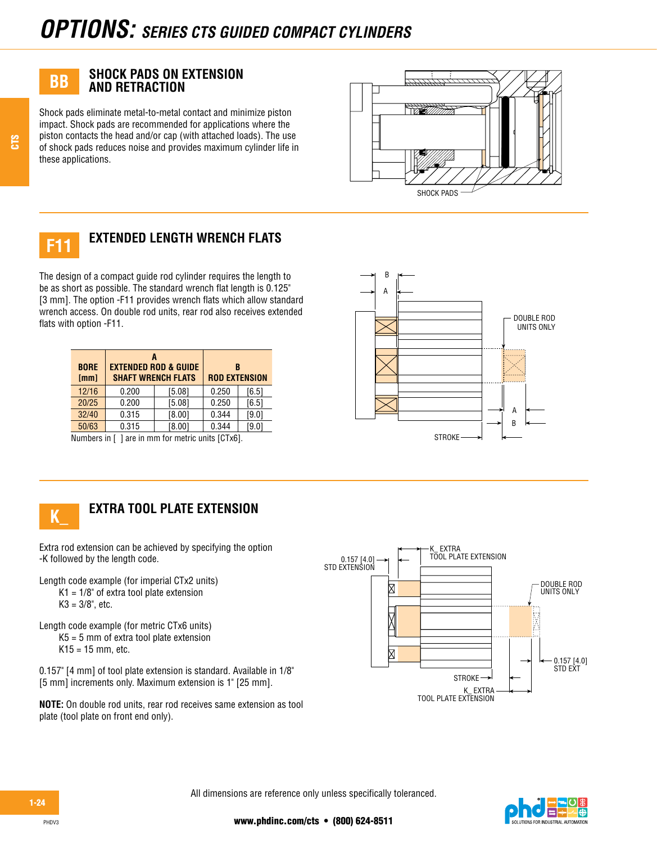# **SHOCK PADS ON EXTENSION AND RETRACTION**

Shock pads eliminate metal-to-metal contact and minimize piston impact. Shock pads are recommended for applications where the piston contacts the head and/or cap (with attached loads). The use of shock pads reduces noise and provides maximum cylinder life in these applications.





# **EXTENDED LENGTH WRENCH FLATS**

The design of a compact guide rod cylinder requires the length to be as short as possible. The standard wrench flat length is 0.125" [3 mm]. The option -F11 provides wrench flats which allow standard wrench access. On double rod units, rear rod also receives extended flats with option -F11.

| <b>BORE</b><br>[mm] | <b>SHAFT WRENCH FLATS</b>                                | <b>EXTENDED ROD &amp; GUIDE</b> | R<br><b>ROD EXTENSION</b> |       |
|---------------------|----------------------------------------------------------|---------------------------------|---------------------------|-------|
| 12/16               | 0.200                                                    | [5.08]                          | 0.250                     | [6.5] |
| 20/25               | 0.200                                                    | [5.08]                          | 0.250                     | [6.5] |
| 32/40               | 0.315                                                    | [8.00]                          | 0.344                     | [9.0] |
| 50/63               | 0.315                                                    | [8.00]                          | 0.344                     | [9.0] |
|                     | Nicaeleas (s.f. 1 eus (s. seus feu sectule contre FOT-O1 |                                 |                           |       |







# **EXTRA TOOL PLATE EXTENSION**

Extra rod extension can be achieved by specifying the option -K followed by the length code.

Length code example (for imperial CTx2 units)  $K1 = 1/8$ " of extra tool plate extension  $K3 = 3/8$ ", etc.

- Length code example (for metric CTx6 units) K5 = 5 mm of extra tool plate extension  $K15 = 15$  mm, etc.
- 0.157" [4 mm] of tool plate extension is standard. Available in 1/8" [5 mm] increments only. Maximum extension is 1" [25 mm].

**NOTE:** On double rod units, rear rod receives same extension as tool plate (tool plate on front end only).



All dimensions are reference only unless specifically toleranced.



CTS

PHDV3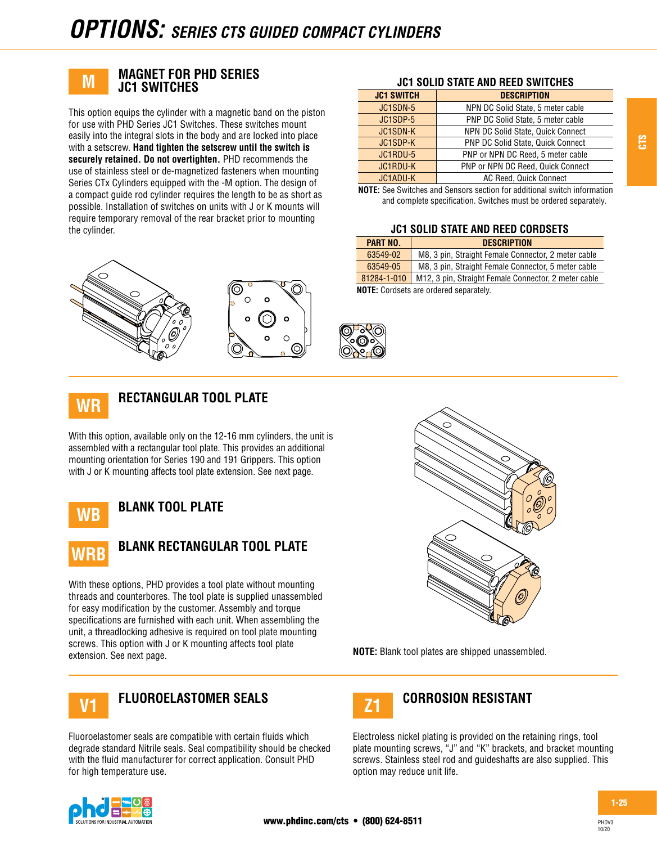

### **MAGNET FOR PHD SERIES JC1 SWITCHES**

This option equips the cylinder with a magnetic band on the piston for use with PHD Series JC1 Switches. These switches mount easily into the integral slots in the body and are locked into place with a setscrew. **Hand tighten the setscrew until the switch is securely retained. Do not overtighten.** PHD recommends the use of stainless steel or de-magnetized fasteners when mounting Series CTx Cylinders equipped with the -M option. The design of a compact guide rod cylinder requires the length to be as short as possible. Installation of switches on units with J or K mounts will require temporary removal of the rear bracket prior to mounting the cylinder.



#### **JC1 SOLID STATE AND REED SWITCHES**

| <b>JC1 SWITCH</b> | <b>DESCRIPTION</b>                |
|-------------------|-----------------------------------|
| JC1SDN-5          | NPN DC Solid State, 5 meter cable |
| JC1SDP-5          | PNP DC Solid State, 5 meter cable |
| <b>JC1SDN-K</b>   | NPN DC Solid State, Quick Connect |
| JC1SDP-K          | PNP DC Solid State, Quick Connect |
| JC1RDU-5          | PNP or NPN DC Reed, 5 meter cable |
| <b>JC1RDU-K</b>   | PNP or NPN DC Reed, Quick Connect |
| JC1ADU-K          | AC Reed, Quick Connect            |

**NOTE:** See Switches and Sensors section for additional switch information and complete specification. Switches must be ordered separately.

#### **JC1 SOLID STATE AND REED CORDSETS**

| PART NO.    | <b>DESCRIPTION</b>                                   |
|-------------|------------------------------------------------------|
| 63549-02    | M8, 3 pin, Straight Female Connector, 2 meter cable  |
| 63549-05    | M8, 3 pin, Straight Female Connector, 5 meter cable  |
| 81284-1-010 | M12, 3 pin, Straight Female Connector, 2 meter cable |
|             | .                                                    |

**NOTE:** Cordsets are ordered separately.



# **RECTANGULAR TOOL PLATE**

With this option, available only on the 12-16 mm cylinders, the unit is assembled with a rectangular tool plate. This provides an additional mounting orientation for Series 190 and 191 Grippers. This option with J or K mounting affects tool plate extension. See next page.



# **BLANK TOOL PLATE**



# **BLANK RECTANGULAR TOOL PLATE**

With these options, PHD provides a tool plate without mounting threads and counterbores. The tool plate is supplied unassembled for easy modification by the customer. Assembly and torque specifications are furnished with each unit. When assembling the unit, a threadlocking adhesive is required on tool plate mounting screws. This option with J or K mounting affects tool plate extension. See next page. **NOTE:** Blank tool plates are shipped unassembled.



# **FLUOROELASTOMER SEALS CORROSION RESISTANT V1 Z1**

Fluoroelastomer seals are compatible with certain fluids which degrade standard Nitrile seals. Seal compatibility should be checked with the fluid manufacturer for correct application. Consult PHD for high temperature use.





Electroless nickel plating is provided on the retaining rings, tool plate mounting screws, "J" and "K" brackets, and bracket mounting screws. Stainless steel rod and guideshafts are also supplied. This option may reduce unit life.

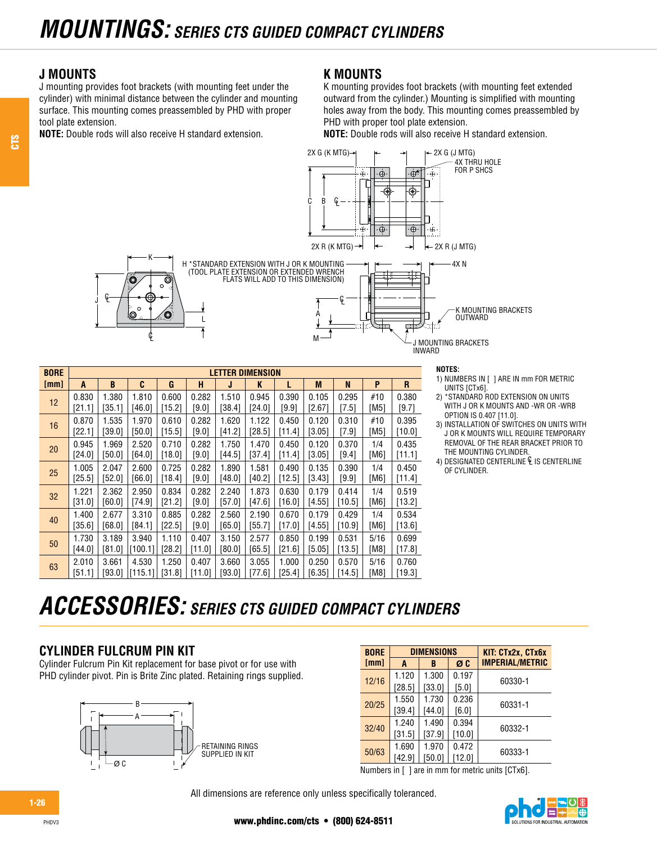# **J MOUNTS**

J

P.

J mounting provides foot brackets (with mounting feet under the cylinder) with minimal distance between the cylinder and mounting surface. This mounting comes preassembled by PHD with proper tool plate extension.

**NOTE:** Double rods will also receive H standard extension.

## **K MOUNTS**

K mounting provides foot brackets (with mounting feet extended outward from the cylinder.) Mounting is simplified with mounting holes away from the body. This mounting comes preassembled by PHD with proper tool plate extension.

**NOTE:** Double rods will also receive H standard extension.



| <b>BORE</b> |        |        |         |          |         | <b>LETTER DIMENSION</b> |          |          |          |         |      |        |
|-------------|--------|--------|---------|----------|---------|-------------------------|----------|----------|----------|---------|------|--------|
| [mm]        | A      | B      | C       | G        | н       | J                       | K        | L        | M        | N       | P    | R      |
| 12          | 0.830  | 1.380  | 1.810   | 0.600    | 0.282   | 1.510                   | 0.945    | 0.390    | 0.105    | 0.295   | #10  | 0.380  |
|             | [21.1] | [35.1] | [46.0]  | [15.2]   | $[9.0]$ | [38.4]                  | [24.0]   | [9.9]    | [2.67]   | [7.5]   | [M5] | [9.7]  |
| 16          | 0.870  | 1.535  | 1.970   | 0.610    | 0.282   | 1.620                   | 1.122    | 0.450    | 0.120    | 0.310   | #10  | 0.395  |
|             | [22.1] | [39.0] | [50.0]  | [15.5]   | $[9.0]$ | [41.2]                  | [28.5]   | [11.4]   | $[3.05]$ | $[7.9]$ | [M5] | [10.0] |
| 20          | 0.945  | 1.969  | 2.520   | 0.710    | 0.282   | 1.750                   | 1.470    | 0.450    | 0.120    | 0.370   | 1/4  | 0.435  |
|             | [24.0] | [50.0] | [64.0]  | [18.0]   | [9.0]   | [44.5]                  | $[37.4]$ | [11.4]   | [3.05]   | [9.4]   | [M6] | [11.1] |
| 25          | 1.005  | 2.047  | 2.600   | 0.725    | 0.282   | 1.890                   | 1.581    | 0.490    | 0.135    | 0.390   | 1/4  | 0.450  |
|             | [25.5] | [52.0] | [66.0]  | [18.4]   | [9.0]   | [48.0]                  | $[40.2]$ | [12.5]   | [3.43]   | $[9.9]$ | [M6] | [11.4] |
| 32          | 1.221  | 2.362  | 2.950   | 0.834    | 0.282   | 2.240                   | 1.873    | 0.630    | 0.179    | 0.414   | 1/4  | 0.519  |
|             | [31.0] | [60.0] | [74.9]  | [21.2]   | [9.0]   | [57.0]                  | [47.6]   | [16.0]   | [4.55]   | [10.5]  | [M6] | [13.2] |
| 40          | 1.400  | 2.677  | 3.310   | 0.885    | 0.282   | 2.560                   | 2.190    | 0.670    | 0.179    | 0.429   | 1/4  | 0.534  |
|             | 35.61  | [68.0] | [84.1]  | [22.5]   | [9.0]   | [65.0]                  | [55.7]   | [17.0]   | [4.55]   | [10.9]  | [M6] | [13.6] |
| 50          | 1.730  | 3.189  | 3.940   | 1.110    | 0.407   | 3.150                   | 2.577    | 0.850    | 0.199    | 0.531   | 5/16 | 0.699  |
|             | [44.0] | [81.0] | [100.1] | $[28.2]$ | [11.0]  | [80.0]                  | [65.5]   | $[21.6]$ | [5.05]   | [13.5]  | [M8] | [17.8] |
| 63          | 2.010  | 3.661  | 4.530   | 1.250    | 0.407   | 3.660                   | 3.055    | 1.000    | 0.250    | 0.570   | 5/16 | 0.760  |
|             | [51.1] | [93.0] | [115.1] | [31.8]   | [11.0]  | 93.01                   | [77.6]   | [25.4]   | [6.35]   | [14.5]  | [M8] | [19.3] |

- 1) NUMBERS IN [ ] ARE IN mm FOR METRIC UNITS [CTx6].
- 2) \*STANDARD ROD EXTENSION ON UNITS WITH J OR K MOUNTS AND -WR OR -WRB OPTION IS 0.407 [11.0].
- 3) INSTALLATION OF SWITCHES ON UNITS WITH J OR K MOUNTS WILL REQUIRE TEMPORARY REMOVAL OF THE REAR BRACKET PRIOR TO THE MOUNTING CYLINDER.
- 4) DESIGNATED CENTERLINE  $\mathcal{C}$  is centerline OF CYLINDER.

# *ACCESSORIES: SERIES CTS GUIDED COMPACT CYLINDERS*

# **CYLINDER FULCRUM PIN KIT**

Cylinder Fulcrum Pin Kit replacement for base pivot or for use with PHD cylinder pivot. Pin is Brite Zinc plated. Retaining rings supplied.



| <b>BORE</b> |          | <b>DIMENSIONS</b> |        | KIT: CTx2x, CTx6x      |
|-------------|----------|-------------------|--------|------------------------|
| [mm]        | A        | B                 | ØC     | <b>IMPERIAL/METRIC</b> |
|             | 1.120    | 1.300             | 0.197  | 60330-1                |
| 12/16       | $[28.5]$ | [33.0]            | [5.0]  |                        |
| 20/25       | 1.550    | 1.730             | 0.236  | 60331-1                |
|             | [39.4]   | [44.0]            | [6.0]  |                        |
| 32/40       | 1.240    | 1.490             | 0.394  |                        |
|             | [31.5]   | [37.9]            | [10.0] | 60332-1                |
|             | 1.690    | 1.970             | 0.472  | 60333-1                |
| 50/63       | [42.9]   | [50.0]            | [12.0] |                        |

Numbers in [ ] are in mm for metric units [CTx6].

All dimensions are reference only unless specifically toleranced.



1-26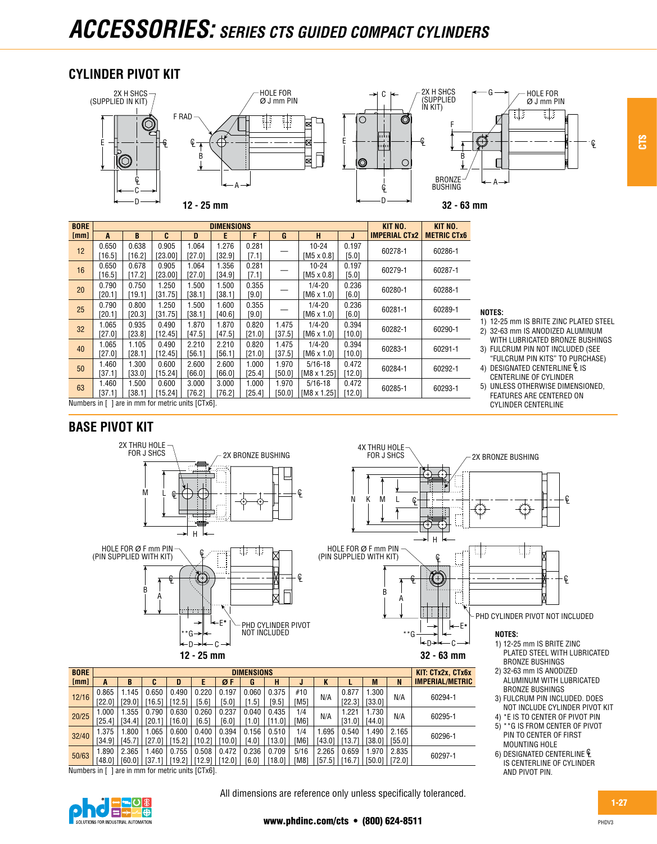# *ACCESSORIES: SERIES CTS GUIDED COMPACT CYLINDERS*

# **CYLINDER PIVOT KIT**



| <b>BORE</b>  |        |        |                                    |        | <b>DIMENSIONS</b> |        |        |                    |        | KIT NO.                                                        | KIT NO.            |  |
|--------------|--------|--------|------------------------------------|--------|-------------------|--------|--------|--------------------|--------|----------------------------------------------------------------|--------------------|--|
| [mm]         | A      | B      | C                                  | D      | E                 | F      | G      | н                  | J      | <b>IMPERIAL CTx2</b>                                           | <b>METRIC CTx6</b> |  |
| 12           | 0.650  | 0.638  | 0.905                              | 1.064  | 1.276             | 0.281  |        | 10-24              | 0.197  |                                                                | 60286-1            |  |
|              | 16.51  | [16.2] | [23.00]                            | [27.01 | [32.9]            | [7.1]  |        | $IM5 \times 0.81$  | [5.0]  | 60278-1<br>60279-1<br>60280-1<br>60281-1<br>60282-1<br>60283-1 |                    |  |
| 16           | 0.650  | 0.678  | 0.905                              | 1.064  | 1.356             | 0.281  |        | $10 - 24$          | 0.197  |                                                                | 60287-1            |  |
|              | [16.5] | [17.2] | [23.00]                            | [27.0] | [34.9]            | [7.1]  |        | $IM5 \times 0.81$  | [5.0]  | 60284-1<br>60285-1                                             |                    |  |
| 20           | 0.790  | 0.750  | 1.250                              | 1.500  | 1.500             | 0.355  |        | $1/4 - 20$         | 0.236  |                                                                | 60288-1            |  |
|              | [20.1] | [19.1] | [31.75]                            | [38.1] | [38.1]            | [9.0]  |        | $[M6 \times 1.0]$  | [6.0]  |                                                                |                    |  |
| 25           | 0.790  | 0.800  | 1.250                              | 1.500  | 1.600             | 0.355  |        | $1/4 - 20$         | 0.236  |                                                                | 60289-1            |  |
|              | [20.1] | [20.3] | [31.75]                            | [38.1] | $[40.6]$          | [9.0]  |        | $[M6 \times 1.0]$  | [6.0]  |                                                                |                    |  |
| 32           | 1.065  | 0.935  | 0.490                              | 1.870  | 1.870             | 0.820  | 1.475  | $1/4 - 20$         | 0.394  |                                                                | 60290-1            |  |
|              | [27.0] | [23.8] | [12.45]                            | [47.5] | [47.5]            | [21.0] | [37.5] | $[M6 \times 1.0]$  | [10.0] |                                                                |                    |  |
| 40           | 1.065  | 1.105  | 0.490                              | 2.210  | 2.210             | 0.820  | 1.475  | $1/4 - 20$         | 0.394  |                                                                | 60291-1            |  |
|              | [27.0] | [28.1] | [12.45]                            | [56.1] | [56.1]            | [21.0] | [37.5] | IM6 x 1.01         | [10.0] |                                                                |                    |  |
| 50           | 1.460  | 1.300  | 0.600                              | 2.600  | 2.600             | 1.000  | 1.970  | $5/16 - 18$        | 0.472  |                                                                | 60292-1            |  |
|              | [37.1] | 33.0   | [15.24]                            | [66.0] | [66.0]            | [25.4] | [50.0] | $IM8 \times 1.251$ | [12.0] |                                                                |                    |  |
| 63           | 1.460  | 1.500  | 0.600                              | 3.000  | 3.000             | 1.000  | 1.970  | $5/16 - 18$        | 0.472  |                                                                | 60293-1            |  |
|              | [37.1] | 38.11  | [15.24]                            | [76.2] | [76.2]            | [25.4] | [50.0] | $[M8 \times 1.25]$ | [12.0] |                                                                |                    |  |
| Numbers in I |        |        | are in mm for metric units [CTx6]. |        |                   |        |        |                    |        |                                                                |                    |  |

#### **NOTES:**

1) 12-25 mm IS BRITE ZINC PLATED STEEL

CTS

- 2) 32-63 mm IS ANODIZED ALUMINUM WITH LUBRICATED BRONZE BUSHINGS
- 3) FULCRUM PIN NOT INCLUDED (SEE "FULCRUM PIN KITS" TO PURCHASE)
- 4) DESIGNATED CENTERLINE  $\mathcal{C}$  is CENTERLINE OF CYLINDER

BRONZE BUSHINGS 3) FULCRUM PIN INCLUDED. DOES NOT INCLUDE CYLINDER PIVOT KIT 4) \*E IS TO CENTER OF PIVOT PIN 5) \*\*G IS FROM CENTER OF PIVOT PIN TO CENTER OF FIRST MOUNTING HOLE 6) DESIGNATED CENTERLINE IS CENTERLINE OF CYLINDER

AND PIVOT PIN.

5) UNLESS OTHERWISE DIMENSIONED, FEATURES ARE CENTERED ON CYLINDER CENTERLINE

# **BASE PIVOT KIT**



|                                                     | <b>BORE</b> | <b>DIMENSIONS</b> |                 |                 |                 |                 |                 |                |                 |                    |                  |                  | KIT: CTx2x. CTx6x |                 |                        |
|-----------------------------------------------------|-------------|-------------------|-----------------|-----------------|-----------------|-----------------|-----------------|----------------|-----------------|--------------------|------------------|------------------|-------------------|-----------------|------------------------|
|                                                     | [mm]        | A                 | B               | u               | D               |                 | ØF              | G              | н               |                    | N                |                  | M                 | N               | <b>IMPERIAL/METRIC</b> |
|                                                     | 12/16       | 0.865<br>[22.01   | 145<br>[29.0]   | 0.650<br>[16.5] | 0.490<br>[12.5] | 0.220<br>[5.6]  | 0.197<br>[5.0]  | 0.060<br>1.51  | 0.375<br>[9.5]  | #10<br><b>IM51</b> | N/A              | 0.877<br>[22.3]  | .300<br>[33.0]    | N/A             | 60294-1                |
|                                                     | 20/25       | 1.000<br>[25.4]   | .355<br>[34.4]  | 0.790<br>120.11 | 0.630<br>[16.0] | 0.260<br>[6.5]  | 0.237<br>[6.0]  | 0.040<br>1.01  | 0.435<br>[11.0] | 1/4<br>TM61        | N/A              | .221<br>$[31.0]$ | 1.730<br>[44.0]   | N/A             | 60295-1                |
|                                                     | 32/40       | 1.375<br>[34.9]   | .800<br>[45.7]  | .065<br>[27.01  | 0.600<br>[15.2] | 0.400<br>[10.2] | 0.394<br>[10.0] | 0.156<br>[4.0] | 0.510<br>[13.0] | 1/4<br>[M6]        | .695<br>$[43.0]$ | 0.540<br>13.7    | .490<br>[38.0]    | 2.165<br>[55.0] | 60296-1                |
|                                                     | 50/63       | 1.890<br>[48.0]   | 2.365<br>[60.0] | .460            | 0.755<br>[19.2] | 0.508<br>[12.9] | 0.472<br>[12.0] | 0.236<br>[6.0] | 0.709<br>[18.0] | 5/16<br>TM81       | 2.265<br>[57.5]  | 0.659<br>16.71   | 1.970<br>[50.0]   | 2.835<br>[72.0] | 60297-1                |
| Lare in mm for metric units [CTx6].<br>Numbers in I |             |                   |                 |                 |                 |                 |                 |                |                 |                    |                  |                  |                   |                 |                        |

Numbers in [ ] are in mm for metric units [CTx6].



1-27